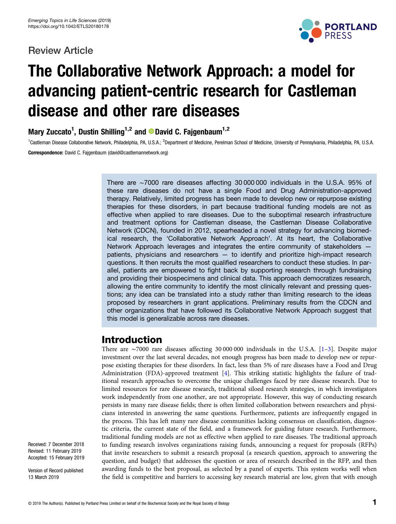## Review Article



# The Collaborative Network Approach: a model for advancing patient-centric research for Castleman disease and other rare diseases

Mary Zuccato<sup>1</sup>, Dustin Shilling<sup>1,2</sup> and <sup>®</sup>David C. Fajgenbaum<sup>1,2</sup>

<sup>1</sup>Castleman Disease Collaborative Network, Philadelphia, PA, U.S.A.; <sup>2</sup>Department of Medicine, Perelman School of Medicine, University of Pennsylvania, Philadelphia, PA, U.S.A. Correspondence: David C. Fajgenbaum (david@castlemannetwork.org)

> There are ∼7000 rare diseases affecting 30 000 000 individuals in the U.S.A. 95% of these rare diseases do not have a single Food and Drug Administration-approved therapy. Relatively, limited progress has been made to develop new or repurpose existing therapies for these disorders, in part because traditional funding models are not as effective when applied to rare diseases. Due to the suboptimal research infrastructure and treatment options for Castleman disease, the Castleman Disease Collaborative Network (CDCN), founded in 2012, spearheaded a novel strategy for advancing biomedical research, the 'Collaborative Network Approach'. At its heart, the Collaborative Network Approach leverages and integrates the entire community of stakeholders patients, physicians and researchers — to identify and prioritize high-impact research questions. It then recruits the most qualified researchers to conduct these studies. In parallel, patients are empowered to fight back by supporting research through fundraising and providing their biospecimens and clinical data. This approach democratizes research, allowing the entire community to identify the most clinically relevant and pressing questions; any idea can be translated into a study rather than limiting research to the ideas proposed by researchers in grant applications. Preliminary results from the CDCN and other organizations that have followed its Collaborative Network Approach suggest that this model is generalizable across rare diseases.

## Introduction

There are ∼7000 rare diseases affecting 30 000 000 individuals in the U.S.A. [\[1](#page-7-0)–[3\]](#page-7-0). Despite major investment over the last several decades, not enough progress has been made to develop new or repurpose existing therapies for these disorders. In fact, less than 5% of rare diseases have a Food and Drug Administration (FDA)-approved treatment [\[4\]](#page-7-0). This striking statistic highlights the failure of traditional research approaches to overcome the unique challenges faced by rare disease research. Due to limited resources for rare disease research, traditional siloed research strategies, in which investigators work independently from one another, are not appropriate. However, this way of conducting research persists in many rare disease fields; there is often limited collaboration between researchers and physicians interested in answering the same questions. Furthermore, patients are infrequently engaged in the process. This has left many rare disease communities lacking consensus on classification, diagnostic criteria, the current state of the field, and a framework for guiding future research. Furthermore, traditional funding models are not as effective when applied to rare diseases. The traditional approach to funding research involves organizations raising funds, announcing a request for proposals (RFPs) that invite researchers to submit a research proposal (a research question, approach to answering the question, and budget) that addresses the question or area of research described in the RFP, and then awarding funds to the best proposal, as selected by a panel of experts. This system works well when the field is competitive and barriers to accessing key research material are low, given that with enough

Received: 7 December 2018 Revised: 11 February 2019 Accepted: 15 February 2019

Version of Record published: 13 March 2019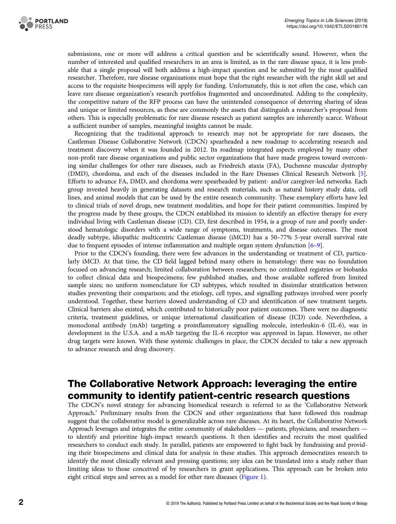

submissions, one or more will address a critical question and be scientifically sound. However, when the number of interested and qualified researchers in an area is limited, as in the rare disease space, it is less probable that a single proposal will both address a high-impact question and be submitted by the most qualified researcher. Therefore, rare disease organizations must hope that the right researcher with the right skill set and access to the requisite biospecimens will apply for funding. Unfortunately, this is not often the case, which can leave rare disease organization's research portfolios fragmented and uncoordinated. Adding to the complexity, the competitive nature of the RFP process can have the unintended consequence of deterring sharing of ideas and unique or limited resources, as these are commonly the assets that distinguish a researcher's proposal from others. This is especially problematic for rare disease research as patient samples are inherently scarce. Without a sufficient number of samples, meaningful insights cannot be made.

Recognizing that the traditional approach to research may not be appropriate for rare diseases, the Castleman Disease Collaborative Network (CDCN) spearheaded a new roadmap to accelerating research and treatment discovery when it was founded in 2012. Its roadmap integrated aspects employed by many other non-profit rare disease organizations and public sector organizations that have made progress toward overcoming similar challenges for other rare diseases, such as Friedreich ataxia (FA), Duchenne muscular dystrophy (DMD), chordoma, and each of the diseases included in the Rare Diseases Clinical Research Network [\[5](#page-7-0)]. Efforts to advance FA, DMD, and chordoma were spearheaded by patient- and/or caregiver-led networks. Each group invested heavily in generating datasets and research materials, such as natural history study data, cell lines, and animal models that can be used by the entire research community. These exemplary efforts have led to clinical trials of novel drugs, new treatment modalities, and hope for their patient communities. Inspired by the progress made by these groups, the CDCN established its mission to identify an effective therapy for every individual living with Castleman disease (CD). CD, first described in 1954, is a group of rare and poorly understood hematologic disorders with a wide range of symptoms, treatments, and disease outcomes. The most deadly subtype, idiopathic multicentric Castleman disease (iMCD) has a 50–77% 5-year overall survival rate due to frequent episodes of intense inflammation and multiple organ system dysfunction [[6](#page-8-0)–[9\]](#page-8-0).

Prior to the CDCN's founding, there were few advances in the understanding or treatment of CD, particularly iMCD. At that time, the CD field lagged behind many others in hematology: there was no foundation focused on advancing research; limited collaboration between researchers; no centralized registries or biobanks to collect clinical data and biospecimens; few published studies, and those available suffered from limited sample sizes; no uniform nomenclature for CD subtypes, which resulted in dissimilar stratification between studies preventing their comparison; and the etiology, cell types, and signalling pathways involved were poorly understood. Together, these barriers slowed understanding of CD and identification of new treatment targets. Clinical barriers also existed, which contributed to historically poor patient outcomes. There were no diagnostic criteria, treatment guidelines, or unique international classification of disease (ICD) code. Nevertheless, a monoclonal antibody (mAb) targeting a proinflammatory signalling molecule, interleukin-6 (IL-6), was in development in the U.S.A. and a mAb targeting the IL-6 receptor was approved in Japan. However, no other drug targets were known. With these systemic challenges in place, the CDCN decided to take a new approach to advance research and drug discovery.

# The Collaborative Network Approach: leveraging the entire community to identify patient-centric research questions

The CDCN's novel strategy for advancing biomedical research is referred to as the 'Collaborative Network Approach.' Preliminary results from the CDCN and other organizations that have followed this roadmap suggest that the collaborative model is generalizable across rare diseases. At its heart, the Collaborative Network Approach leverages and integrates the entire community of stakeholders — patients, physicians, and researchers to identify and prioritize high-impact research questions. It then identifies and recruits the most qualified researchers to conduct each study. In parallel, patients are empowered to fight back by fundraising and providing their biospecimens and clinical data for analysis in these studies. This approach democratizes research to identify the most clinically relevant and pressing questions; any idea can be translated into a study rather than limiting ideas to those conceived of by researchers in grant applications. This approach can be broken into eight critical steps and serves as a model for other rare diseases [\(Figure 1](#page-2-0)).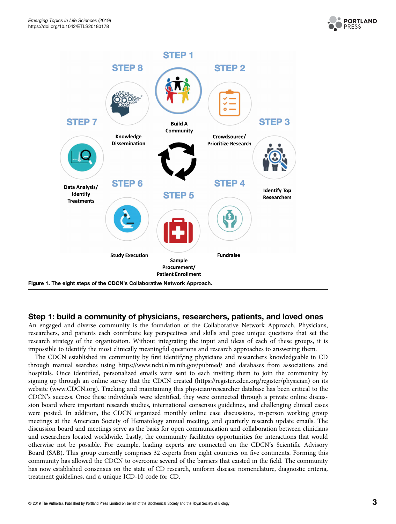

<span id="page-2-0"></span>

#### Step 1: build a community of physicians, researchers, patients, and loved ones

An engaged and diverse community is the foundation of the Collaborative Network Approach. Physicians, researchers, and patients each contribute key perspectives and skills and pose unique questions that set the research strategy of the organization. Without integrating the input and ideas of each of these groups, it is impossible to identify the most clinically meaningful questions and research approaches to answering them.

The CDCN established its community by first identifying physicians and researchers knowledgeable in CD through manual searches using<https://www.ncbi.nlm.nih.gov/pubmed/> and databases from associations and hospitals. Once identified, personalized emails were sent to each inviting them to join the community by signing up through an online survey that the CDCN created [\(https://register.cdcn.org/register/physician](https://register.cdcn.org/register/physician)) on its website [\(www.CDCN.org\)](http://www.CDCN.org). Tracking and maintaining this physician/researcher database has been critical to the CDCN's success. Once these individuals were identified, they were connected through a private online discussion board where important research studies, international consensus guidelines, and challenging clinical cases were posted. In addition, the CDCN organized monthly online case discussions, in-person working group meetings at the American Society of Hematology annual meeting, and quarterly research update emails. The discussion board and meetings serve as the basis for open communication and collaboration between clinicians and researchers located worldwide. Lastly, the community facilitates opportunities for interactions that would otherwise not be possible. For example, leading experts are connected on the CDCN's Scientific Advisory Board (SAB). This group currently comprises 32 experts from eight countries on five continents. Forming this community has allowed the CDCN to overcome several of the barriers that existed in the field. The community has now established consensus on the state of CD research, uniform disease nomenclature, diagnostic criteria, treatment guidelines, and a unique ICD-10 code for CD.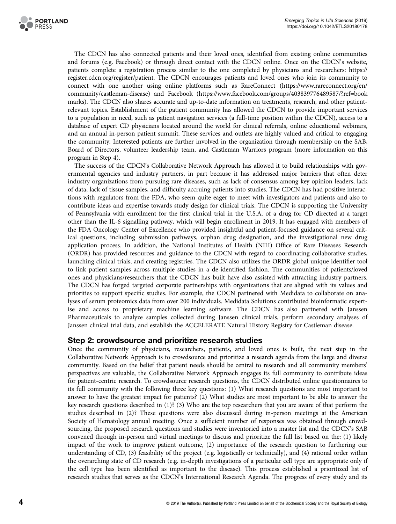

The CDCN has also connected patients and their loved ones, identified from existing online communities and forums (e.g. Facebook) or through direct contact with the CDCN online. Once on the CDCN's website, patients complete a registration process similar to the one completed by physicians and researchers: [https://](https://register.cdcn.org/register/patient) [register.cdcn.org/register/patient.](https://register.cdcn.org/register/patient) The CDCN encourages patients and loved ones who join its community to connect with one another using online platforms such as RareConnect [\(https://www.rareconnect.org/en/](https://www.rareconnect.org/en/community/castleman-disease) [community/castleman-disease\)](https://www.rareconnect.org/en/community/castleman-disease) and Facebook [\(https://www.facebook.com/groups/403839776489587/?ref=book](https://www.facebook.com/groups/403839776489587/?ref=bookmarks) [marks\)](https://www.facebook.com/groups/403839776489587/?ref=bookmarks). The CDCN also shares accurate and up-to-date information on treatments, research, and other patientrelevant topics. Establishment of the patient community has allowed the CDCN to provide important services to a population in need, such as patient navigation services (a full-time position within the CDCN), access to a database of expert CD physicians located around the world for clinical referrals, online educational webinars, and an annual in-person patient summit. These services and outlets are highly valued and critical to engaging the community. Interested patients are further involved in the organization through membership on the SAB, Board of Directors, volunteer leadership team, and Castleman Warriors program (more information on this program in Step 4).

The success of the CDCN's Collaborative Network Approach has allowed it to build relationships with governmental agencies and industry partners, in part because it has addressed major barriers that often deter industry organizations from pursuing rare diseases, such as lack of consensus among key opinion leaders, lack of data, lack of tissue samples, and difficulty accruing patients into studies. The CDCN has had positive interactions with regulators from the FDA, who seem quite eager to meet with investigators and patients and also to contribute ideas and expertise towards study design for clinical trials. The CDCN is supporting the University of Pennsylvania with enrollment for the first clinical trial in the U.S.A. of a drug for CD directed at a target other than the IL-6 signalling pathway, which will begin enrollment in 2019. It has engaged with members of the FDA Oncology Center of Excellence who provided insightful and patient-focused guidance on several critical questions, including submission pathways, orphan drug designation, and the investigational new drug application process. In addition, the National Institutes of Health (NIH) Office of Rare Diseases Research (ORDR) has provided resources and guidance to the CDCN with regard to coordinating collaborative studies, launching clinical trials, and creating registries. The CDCN also utilizes the ORDR global unique identifier tool to link patient samples across multiple studies in a de-identified fashion. The communities of patients/loved ones and physicians/researchers that the CDCN has built have also assisted with attracting industry partners. The CDCN has forged targeted corporate partnerships with organizations that are aligned with its values and priorities to support specific studies. For example, the CDCN partnered with Medidata to collaborate on analyses of serum proteomics data from over 200 individuals. Medidata Solutions contributed bioinformatic expertise and access to proprietary machine learning software. The CDCN has also partnered with Janssen Pharmaceuticals to analyze samples collected during Janssen clinical trials, perform secondary analyses of Janssen clinical trial data, and establish the ACCELERATE Natural History Registry for Castleman disease.

#### Step 2: crowdsource and prioritize research studies

Once the community of physicians, researchers, patients, and loved ones is built, the next step in the Collaborative Network Approach is to crowdsource and prioritize a research agenda from the large and diverse community. Based on the belief that patient needs should be central to research and all community members' perspectives are valuable, the Collaborative Network Approach engages its full community to contribute ideas for patient-centric research. To crowdsource research questions, the CDCN distributed online questionnaires to its full community with the following three key questions: (1) What research questions are most important to answer to have the greatest impact for patients? (2) What studies are most important to be able to answer the key research questions described in (1)? (3) Who are the top researchers that you are aware of that perform the studies described in (2)? These questions were also discussed during in-person meetings at the American Society of Hematology annual meeting. Once a sufficient number of responses was obtained through crowdsourcing, the proposed research questions and studies were inventoried into a master list and the CDCN's SAB convened through in-person and virtual meetings to discuss and prioritize the full list based on the: (1) likely impact of the work to improve patient outcome, (2) importance of the research question to furthering our understanding of CD, (3) feasibility of the project (e.g. logistically or technically), and (4) rational order within the overarching state of CD research (e.g. in-depth investigations of a particular cell type are appropriate only if the cell type has been identified as important to the disease). This process established a prioritized list of research studies that serves as the CDCN's International Research Agenda. The progress of every study and its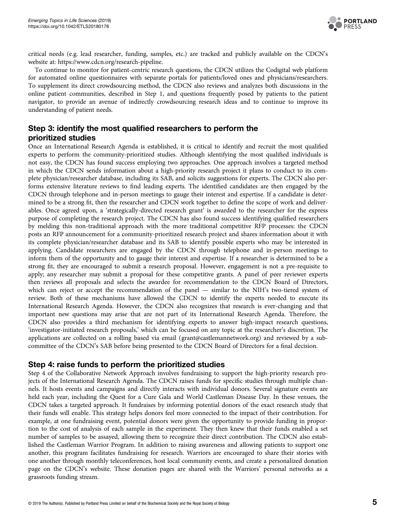

critical needs (e.g. lead researcher, funding, samples, etc.) are tracked and publicly available on the CDCN's website at:<https://www.cdcn.org/research-pipeline>.

To continue to monitor for patient-centric research questions, the CDCN utilizes the Codigital web platform for automated online questionnaires with separate portals for patients/loved ones and physicians/researchers. To supplement its direct crowdsourcing method, the CDCN also reviews and analyzes both discussions in the online patient communities, described in Step 1, and questions frequently posed by patients to the patient navigator, to provide an avenue of indirectly crowdsourcing research ideas and to continue to improve its understanding of patient needs.

## Step 3: identify the most qualified researchers to perform the prioritized studies

Once an International Research Agenda is established, it is critical to identify and recruit the most qualified experts to perform the community-prioritized studies. Although identifying the most qualified individuals is not easy, the CDCN has found success employing two approaches. One approach involves a targeted method in which the CDCN sends information about a high-priority research project it plans to conduct to its complete physician/researcher database, including its SAB, and solicits suggestions for experts. The CDCN also performs extensive literature reviews to find leading experts. The identified candidates are then engaged by the CDCN through telephone and in-person meetings to gauge their interest and expertise. If a candidate is determined to be a strong fit, then the researcher and CDCN work together to define the scope of work and deliverables. Once agreed upon, a 'strategically-directed research grant' is awarded to the researcher for the express purpose of completing the research project. The CDCN has also found success identifying qualified researchers by melding this non-traditional approach with the more traditional competitive RFP processes: the CDCN posts an RFP announcement for a community-prioritized research project and shares information about it with its complete physician/researcher database and its SAB to identify possible experts who may be interested in applying. Candidate researchers are engaged by the CDCN through telephone and in-person meetings to inform them of the opportunity and to gauge their interest and expertise. If a researcher is determined to be a strong fit, they are encouraged to submit a research proposal. However, engagement is not a pre-requisite to apply; any researcher may submit a proposal for these competitive grants. A panel of peer reviewer experts then reviews all proposals and selects the awardee for recommendation to the CDCN Board of Directors, which can reject or accept the recommendation of the panel — similar to the NIH's two-tiered system of review. Both of these mechanisms have allowed the CDCN to identify the experts needed to execute its International Research Agenda. However, the CDCN also recognizes that research is ever-changing and that important new questions may arise that are not part of its International Research Agenda. Therefore, the CDCN also provides a third mechanism for identifying experts to answer high-impact research questions, 'investigator-initiated research proposals,' which can be focused on any topic at the researcher's discretion. The applications are collected on a rolling based via email (grant@castlemannetwork.org) and reviewed by a subcommittee of the CDCN's SAB before being presented to the CDCN Board of Directors for a final decision.

#### Step 4: raise funds to perform the prioritized studies

Step 4 of the Collaborative Network Approach involves fundraising to support the high-priority research projects of the International Research Agenda. The CDCN raises funds for specific studies through multiple channels. It hosts events and campaigns and directly interacts with individual donors. Several signature events are held each year, including the Quest for a Cure Gala and World Castleman Disease Day. In these venues, the CDCN takes a targeted approach. It fundraises by informing potential donors of the exact research study that their funds will enable. This strategy helps donors feel more connected to the impact of their contribution. For example, at one fundraising event, potential donors were given the opportunity to provide funding in proportion to the cost of analysis of each sample in the experiment. They then knew that their funds enabled a set number of samples to be assayed, allowing them to recognize their direct contribution. The CDCN also established the Castleman Warrior Program. In addition to raising awareness and allowing patients to support one another, this program facilitates fundraising for research. Warriors are encouraged to share their stories with one another through monthly teleconferences, host local community events, and create a personalized donation page on the CDCN's website. These donation pages are shared with the Warriors' personal networks as a grassroots funding stream.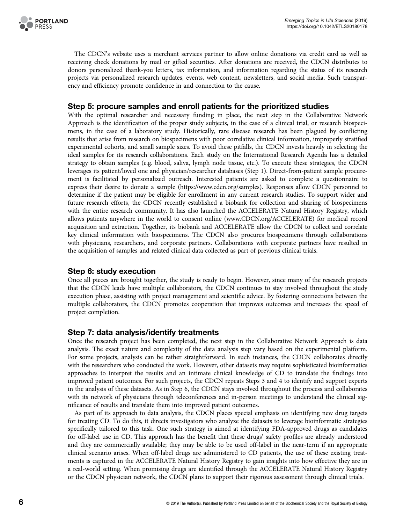

The CDCN's website uses a merchant services partner to allow online donations via credit card as well as receiving check donations by mail or gifted securities. After donations are received, the CDCN distributes to donors personalized thank-you letters, tax information, and information regarding the status of its research projects via personalized research updates, events, web content, newsletters, and social media. Such transparency and efficiency promote confidence in and connection to the cause.

#### Step 5: procure samples and enroll patients for the prioritized studies

With the optimal researcher and necessary funding in place, the next step in the Collaborative Network Approach is the identification of the proper study subjects, in the case of a clinical trial, or research biospecimens, in the case of a laboratory study. Historically, rare disease research has been plagued by conflicting results that arise from research on biospecimens with poor correlative clinical information, improperly stratified experimental cohorts, and small sample sizes. To avoid these pitfalls, the CDCN invests heavily in selecting the ideal samples for its research collaborations. Each study on the International Research Agenda has a detailed strategy to obtain samples (e.g. blood, saliva, lymph node tissue, etc.). To execute these strategies, the CDCN leverages its patient/loved one and physician/researcher databases (Step 1). Direct-from-patient sample procurement is facilitated by personalized outreach. Interested patients are asked to complete a questionnaire to express their desire to donate a sample [\(https://www.cdcn.org/samples\)](https://www.cdcn.org/samples). Responses allow CDCN personnel to determine if the patient may be eligible for enrollment in any current research studies. To support wider and future research efforts, the CDCN recently established a biobank for collection and sharing of biospecimens with the entire research community. It has also launched the ACCELERATE Natural History Registry, which allows patients anywhere in the world to consent online ([www.CDCN.org/ACCELERATE\)](http://www.CDCN.org/ACCELERATE) for medical record acquisition and extraction. Together, its biobank and ACCELERATE allow the CDCN to collect and correlate key clinical information with biospecimens. The CDCN also procures biospecimens through collaborations with physicians, researchers, and corporate partners. Collaborations with corporate partners have resulted in the acquisition of samples and related clinical data collected as part of previous clinical trials.

#### Step 6: study execution

Once all pieces are brought together, the study is ready to begin. However, since many of the research projects that the CDCN leads have multiple collaborators, the CDCN continues to stay involved throughout the study execution phase, assisting with project management and scientific advice. By fostering connections between the multiple collaborators, the CDCN promotes cooperation that improves outcomes and increases the speed of project completion.

#### Step 7: data analysis/identify treatments

Once the research project has been completed, the next step in the Collaborative Network Approach is data analysis. The exact nature and complexity of the data analysis step vary based on the experimental platform. For some projects, analysis can be rather straightforward. In such instances, the CDCN collaborates directly with the researchers who conducted the work. However, other datasets may require sophisticated bioinformatics approaches to interpret the results and an intimate clinical knowledge of CD to translate the findings into improved patient outcomes. For such projects, the CDCN repeats Steps 3 and 4 to identify and support experts in the analysis of these datasets. As in Step 6, the CDCN stays involved throughout the process and collaborates with its network of physicians through teleconferences and in-person meetings to understand the clinical significance of results and translate them into improved patient outcomes.

As part of its approach to data analysis, the CDCN places special emphasis on identifying new drug targets for treating CD. To do this, it directs investigators who analyze the datasets to leverage bioinformatic strategies specifically tailored to this task. One such strategy is aimed at identifying FDA-approved drugs as candidates for off-label use in CD. This approach has the benefit that these drugs' safety profiles are already understood and they are commercially available; they may be able to be used off-label in the near-term if an appropriate clinical scenario arises. When off-label drugs are administered to CD patients, the use of these existing treatments is captured in the ACCELERATE Natural History Registry to gain insights into how effective they are in a real-world setting. When promising drugs are identified through the ACCELERATE Natural History Registry or the CDCN physician network, the CDCN plans to support their rigorous assessment through clinical trials.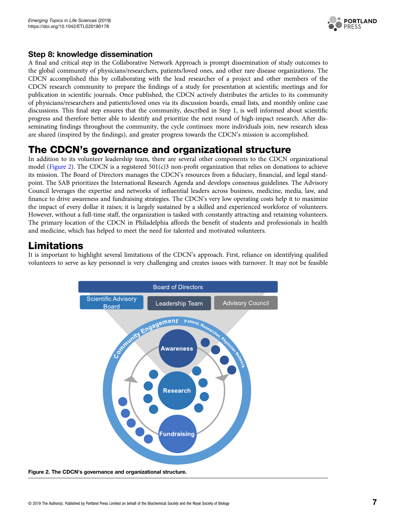

## Step 8: knowledge dissemination

A final and critical step in the Collaborative Network Approach is prompt dissemination of study outcomes to the global community of physicians/researchers, patients/loved ones, and other rare disease organizations. The CDCN accomplished this by collaborating with the lead researcher of a project and other members of the CDCN research community to prepare the findings of a study for presentation at scientific meetings and for publication in scientific journals. Once published, the CDCN actively distributes the articles to its community of physicians/researchers and patients/loved ones via its discussion boards, email lists, and monthly online case discussions. This final step ensures that the community, described in Step 1, is well informed about scientific progress and therefore better able to identify and prioritize the next round of high-impact research. After disseminating findings throughout the community, the cycle continues: more individuals join, new research ideas are shared (inspired by the findings), and greater progress towards the CDCN's mission is accomplished.

# The CDCN's governance and organizational structure

In addition to its volunteer leadership team, there are several other components to the CDCN organizational model (Figure 2). The CDCN is a registered  $501(c)3$  non-profit organization that relies on donations to achieve its mission. The Board of Directors manages the CDCN's resources from a fiduciary, financial, and legal standpoint. The SAB prioritizes the International Research Agenda and develops consensus guidelines. The Advisory Council leverages the expertise and networks of influential leaders across business, medicine, media, law, and finance to drive awareness and fundraising strategies. The CDCN's very low operating costs help it to maximize the impact of every dollar it raises; it is largely sustained by a skilled and experienced workforce of volunteers. However, without a full-time staff, the organization is tasked with constantly attracting and retaining volunteers. The primary location of the CDCN in Philadelphia affords the benefit of students and professionals in health and medicine, which has helped to meet the need for talented and motivated volunteers.

# Limitations

It is important to highlight several limitations of the CDCN's approach. First, reliance on identifying qualified volunteers to serve as key personnel is very challenging and creates issues with turnover. It may not be feasible

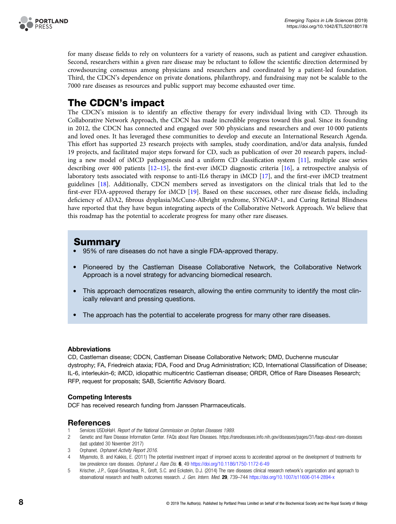<span id="page-7-0"></span>

for many disease fields to rely on volunteers for a variety of reasons, such as patient and caregiver exhaustion. Second, researchers within a given rare disease may be reluctant to follow the scientific direction determined by crowdsourcing consensus among physicians and researchers and coordinated by a patient-led foundation. Third, the CDCN's dependence on private donations, philanthropy, and fundraising may not be scalable to the 7000 rare diseases as resources and public support may become exhausted over time.

# The CDCN's impact

The CDCN's mission is to identify an effective therapy for every individual living with CD. Through its Collaborative Network Approach, the CDCN has made incredible progress toward this goal. Since its founding in 2012, the CDCN has connected and engaged over 500 physicians and researchers and over 10 000 patients and loved ones. It has leveraged these communities to develop and execute an International Research Agenda. This effort has supported 23 research projects with samples, study coordination, and/or data analysis, funded 19 projects, and facilitated major steps forward for CD, such as publication of over 20 research papers, including a new model of iMCD pathogenesis and a uniform CD classification system [[11](#page-8-0)], multiple case series describing over 400 patients [\[12](#page-8-0)–[15](#page-8-0)], the first-ever iMCD diagnostic criteria [[16](#page-8-0)], a retrospective analysis of laboratory tests associated with response to anti-IL6 therapy in iMCD [[17](#page-8-0)], and the first-ever iMCD treatment guidelines [[18](#page-8-0)]. Additionally, CDCN members served as investigators on the clinical trials that led to the first-ever FDA-approved therapy for iMCD [\[19\]](#page-8-0). Based on these successes, other rare disease fields, including deficiency of ADA2, fibrous dysplasia/McCune-Albright syndrome, SYNGAP-1, and Curing Retinal Blindness have reported that they have begun integrating aspects of the Collaborative Network Approach. We believe that this roadmap has the potential to accelerate progress for many other rare diseases.

## **Summary**

- 95% of rare diseases do not have a single FDA-approved therapy.
- Pioneered by the Castleman Disease Collaborative Network, the Collaborative Network Approach is a novel strategy for advancing biomedical research.
- This approach democratizes research, allowing the entire community to identify the most clinically relevant and pressing questions.
- The approach has the potential to accelerate progress for many other rare diseases.

#### Abbreviations

CD, Castleman disease; CDCN, Castleman Disease Collaborative Network; DMD, Duchenne muscular dystrophy; FA, Friedreich ataxia; FDA, Food and Drug Administration; ICD, International Classification of Disease; IL-6, interleukin-6; iMCD, idiopathic multicentric Castleman disease; ORDR, Office of Rare Diseases Research; RFP, request for proposals; SAB, Scientific Advisory Board.

#### Competing Interests

DCF has received research funding from Janssen Pharmaceuticals.

#### References

- 1 Services USDoHaH. Report of the National Commission on Orphan Diseases 1989.
- 2 Genetic and Rare Disease Information Center. FAQs about Rare Diseases.<https://rarediseases.info.nih.gov/diseases/pages/31/faqs-about-rare-diseases> (last updated 30 November 2017)
- 3 Orphanet. Orphanet Activity Report 2016.
- 4 Miyamoto, B. and Kakkis, E. (2011) The potential investment impact of improved access to accelerated approval on the development of treatments for low prevalence rare diseases. Orphanet J. Rare Dis. 6, 49 <https://doi.org/10.1186/1750-1172-6-49>
- 5 Krischer, J.P., Gopal-Srivastava, R., Groft, S.C. and Eckstein, D.J. (2014) The rare diseases clinical research network's organization and approach to observational research and health outcomes research. J. Gen. Intern. Med. 29, 739–744 <https://doi.org/10.1007/s11606-014-2894-x>